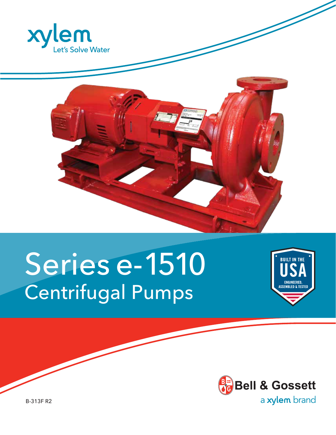



# Series e-1510 Centrifugal Pumps





B-313F R2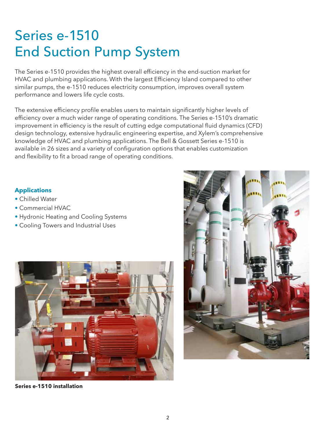### Series e-1510 End Suction Pump System

The Series e-1510 provides the highest overall efficiency in the end-suction market for HVAC and plumbing applications. With the largest Efficiency Island compared to other similar pumps, the e-1510 reduces electricity consumption, improves overall system performance and lowers life cycle costs.

The extensive efficiency profile enables users to maintain significantly higher levels of efficiency over a much wider range of operating conditions. The Series e-1510's dramatic improvement in efficiency is the result of cutting edge computational fluid dynamics (CFD) design technology, extensive hydraulic engineering expertise, and Xylem's comprehensive knowledge of HVAC and plumbing applications. The Bell & Gossett Series e-1510 is available in 26 sizes and a variety of configuration options that enables customization and flexibility to fit a broad range of operating conditions.

#### **Applications**

- Chilled Water
- Commercial HVAC
- Hydronic Heating and Cooling Systems
- Cooling Towers and Industrial Uses



**Series e-1510 installation**

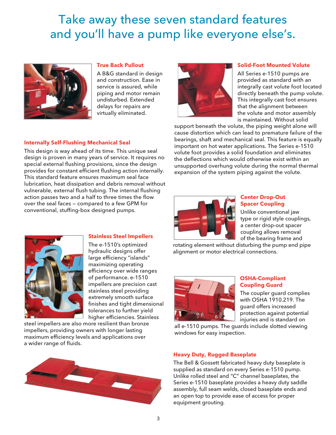### Take away these seven standard features and you'll have a pump like everyone else's.



#### **True Back Pullout**

**Stainless Steel Impellers** The e-1510's optimized hydraulic designs offer large efficiency "islands" maximizing operating efficiency over wide ranges of performance. e-1510 impellers are precision cast stainless steel providing extremely smooth surface finishes and tight dimensional tolerances to further yield higher efficiencies. Stainless

A B&G standard in design and construction. Ease in service is assured, while piping and motor remain undisturbed. Extended delays for repairs are virtually eliminated.

#### **Internally Self-Flushing Mechanical Seal**

This design is way ahead of its time. This unique seal design is proven in many years of service. It requires no special external flushing provisions, since the design provides for constant efficient flushing action internally. This standard feature ensures maximum seal face lubrication, heat dissipation and debris removal without vulnerable, external flush tubing. The internal flushing action passes two and a half to three times the flow over the seal faces — compared to a few GPM for conventional, stuffing-box designed pumps.



#### **Solid-Foot Mounted Volute**

All Series e-1510 pumps are provided as standard with an integrally cast volute foot located directly beneath the pump volute. This integrally cast foot ensures that the alignment between the volute and motor assembly is maintained. Without solid

support beneath the volute, the piping weight alone will cause distortion which can lead to premature failure of the bearings, shaft and mechanical seal. This feature is equally important on hot water applications. The Series e-1510 volute foot provides a solid foundation and eliminates the deflections which would otherwise exist within an unsupported overhung volute during the normal thermal expansion of the system piping against the volute.



#### **Center Drop-Out Spacer Coupling**

Unlike conventional jaw type or rigid style couplings, a center drop-out spacer coupling allows removal of the bearing frame and

rotating element without disturbing the pump end pipe alignment or motor electrical connections.



#### **OSHA-Compliant Coupling Guard**

The coupler guard complies with OSHA 1910.219. The guard offers increased protection against potential injuries and is standard on

all e-1510 pumps. The guards include slotted viewing windows for easy inspection.



steel impellers are also more resilient than bronze impellers, providing owners with longer lasting maximum efficiency levels and applications over

a wider range of fluids.

#### **Heavy Duty, Rugged Baseplate**

The Bell & Gossett fabricated heavy duty baseplate is supplied as standard on every Series e-1510 pump. Unlike rolled steel and "C" channel baseplates, the Series e-1510 baseplate provides a heavy duty saddle assembly, full seam welds, closed baseplate ends and an open top to provide ease of access for proper equipment grouting.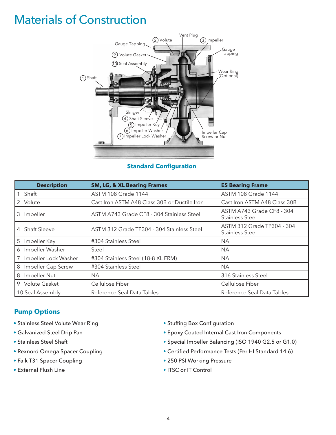### Materials of Construction



#### **Standard Configuration**

| <b>Description</b>      | <b>SM, LG, &amp; XL Bearing Frames</b>       | <b>ES Bearing Frame</b>                              |
|-------------------------|----------------------------------------------|------------------------------------------------------|
| Shaft                   | <b>ASTM 108 Grade 1144</b>                   | <b>ASTM 108 Grade 1144</b>                           |
| 2 Volute                | Cast Iron ASTM A48 Class 30B or Ductile Iron | Cast Iron ASTM A48 Class 30B                         |
| 3 Impeller              | ASTM A743 Grade CF8 - 304 Stainless Steel    | ASTM A743 Grade CF8 - 304<br><b>Stainless Steel</b>  |
| 4 Shaft Sleeve          | ASTM 312 Grade TP304 - 304 Stainless Steel   | ASTM 312 Grade TP304 - 304<br><b>Stainless Steel</b> |
| 5<br>Impeller Key       | #304 Stainless Steel                         | <b>NA</b>                                            |
| Impeller Washer<br>6    | Steel                                        | <b>NA</b>                                            |
| Impeller Lock Washer    | #304 Stainless Steel (18-8 XL FRM)           | NA.                                                  |
| Impeller Cap Screw<br>8 | #304 Stainless Steel                         | <b>NA</b>                                            |
| 8 Impeller Nut          | <b>NA</b>                                    | 316 Stainless Steel                                  |
| 9 Volute Gasket         | Cellulose Fiber                              | Cellulose Fiber                                      |
| 10 Seal Assembly        | Reference Seal Data Tables                   | Reference Seal Data Tables                           |

#### **Pump Options**

- Stainless Steel Volute Wear Ring
- Galvanized Steel Drip Pan
- Stainless Steel Shaft
- Rexnord Omega Spacer Coupling
- Falk T31 Spacer Coupling
- External Flush Line
- Stuffing Box Configuration
- Epoxy Coated Internal Cast Iron Components
- Special Impeller Balancing (ISO 1940 G2.5 or G1.0)
- Certified Performance Tests (Per HI Standard 14.6)
- 250 PSI Working Pressure
- ITSC or IT Control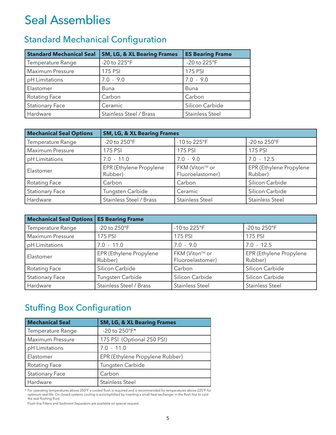### Seal Assemblies

### Standard Mechanical Configuration

| <b>Standard Mechanical Seal</b> | <b>SM, LG, &amp; XL Bearing Frames</b> | <b>ES Bearing Frame</b> |
|---------------------------------|----------------------------------------|-------------------------|
| Temperature Range               | -20 to 225°F                           | -20 to 225°F            |
| Maximum Pressure                | 175 PSI                                | 175 PSI                 |
| pH Limitations                  | $7.0 - 9.0$                            | $7.0 - 9.0$             |
| Elastomer                       | Buna                                   | <b>Buna</b>             |
| Rotating Face                   | Carbon                                 | Carbon                  |
| <b>Stationary Face</b>          | Ceramic                                | Silicon Carbide         |
| Hardware                        | <b>Stainless Steel / Brass</b>         | <b>Stainless Steel</b>  |

| <b>Mechanical Seal Options</b> | <b>SM, LG, &amp; XL Bearing Frames</b> |                                    |                                    |
|--------------------------------|----------------------------------------|------------------------------------|------------------------------------|
| Temperature Range              | -20 to 250°F                           | -10 to 225°F                       | -20 to 250°F                       |
| Maximum Pressure               | <b>175 PSI</b>                         | 175 PSI                            | 175 PSI                            |
| pH Limitations                 | $7.0 - 11.0$                           | $7.0 - 9.0$                        | $7.0 - 12.5$                       |
| Elastomer                      | EPR (Ethylene Propylene<br>Rubber)     | FKM (Viton™ or<br>Fluoroelastomer) | EPR (Ethylene Propylene<br>Rubber) |
| <b>Rotating Face</b>           | Carbon                                 | Carbon                             | Silicon Carbide                    |
| <b>Stationary Face</b>         | Tungsten Carbide                       | Ceramic                            | Silicon Carbide                    |
| Hardware                       | <b>Stainless Steel / Brass</b>         | <b>Stainless Steel</b>             | <b>Stainless Steel</b>             |

| <b>Mechanical Seal Options</b> | <b>ES Bearing Frame</b>            |                                    |                                    |
|--------------------------------|------------------------------------|------------------------------------|------------------------------------|
| Temperature Range              | -20 to 250°F                       | -10 to 225°F                       | -20 to 250°F                       |
| Maximum Pressure               | 175 PSI                            | 175 PSI                            | 175 PSI                            |
| pH Limitations                 | $7.0 - 11.0$                       | $7.0 - 9.0$                        | $7.0 - 12.5$                       |
| Elastomer                      | EPR (Ethylene Propylene<br>Rubber) | FKM (Viton™ or<br>Fluoroelastomer) | EPR (Ethylene Propylene<br>Rubber) |
| <b>Rotating Face</b>           | Silicon Carbide                    | Carbon                             | Silicon Carbide                    |
| <b>Stationary Face</b>         | Tungsten Carbide                   | Silicon Carbide                    | Silicon Carbide                    |
| Hardware                       | <b>Stainless Steel / Brass</b>     | <b>Stainless Steel</b>             | <b>Stainless Steel</b>             |

### Stuffing Box Configuration

| <b>Mechanical Seal</b> | <b>SM, LG, &amp; XL Bearing Frames</b> |
|------------------------|----------------------------------------|
| Temperature Range      | -20 to 250°F*                          |
| Maximum Pressure       | 175 PSI (Optional 250 PSI)             |
| pH Limitations         | $7.0 - 11.0$                           |
| Elastomer              | EPR (Ethylene Propylene Rubber)        |
| Rotating Face          | Tungsten Carbide                       |
| <b>Stationary Face</b> | Carbon                                 |
| Hardware               | <b>Stainless Steel</b>                 |

\* For operating temperatures above 250°F a cooled flush is required and is recommended for temperatures above 225°F for<br>optimum seal life. On closed systems cooling is accomplished by inserting a small heat exchanger in th

Flush-line Filters and Sediment Separators are available on special request.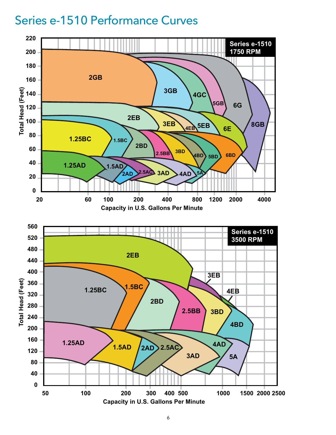### Series e-1510 Performance Curves

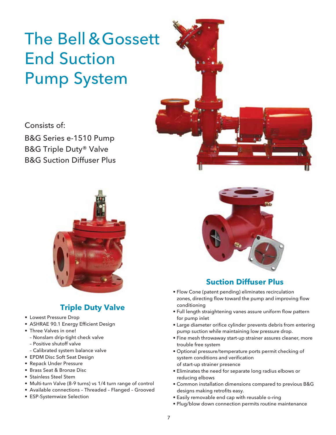## The Bell &Gossett End Suction Pump System

Consists of:

B&G Series e-1510 Pump B&G Triple Duty® Valve B&G Suction Diffuser Plus



### **Triple Duty Valve**

- Lowest Pressure Drop
- ASHRAE 90.1 Energy Efficient Design
- Three Valves in one!
	- Nonslam drip-tight check valve
	- Positive shutoff valve
	- Calibrated system balance valve
- EPDM Disc Soft Seat Design
- Repack Under Pressure
- Brass Seat & Bronze Disc
- Stainless Steel Stem
- Multi-turn Valve (8-9 turns) vs 1/4 turn range of control
- Available connections Threaded Flanged Grooved
- ESP-Systemwize Selection



#### **Suction Diffuser Plus**

- Flow Cone (patent pending) eliminates recirculation zones, directing flow toward the pump and improving flow conditioning
- Full length straightening vanes assure uniform flow pattern for pump inlet
- Large diameter orifice cylinder prevents debris from entering pump suction while maintaining low pressure drop.
- Fine mesh throwaway start-up strainer assures cleaner, more trouble free system
- Optional pressure/temperature ports permit checking of system conditions and verification of start-up strainer presence
- Eliminates the need for separate long radius elbows or reducing elbows
- Common installation dimensions compared to previous B&G designs making retrofits easy.
- Easily removable end cap with reusable o-ring
- Plug/blow down connection permits routine maintenance